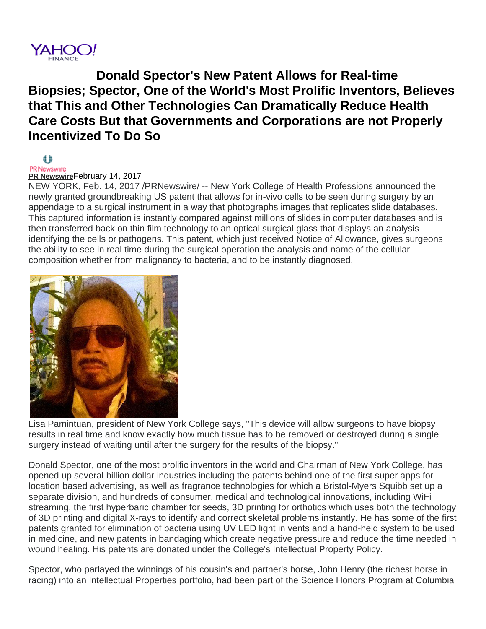

**Donald Spector's New Patent Allows for Real-time Biopsies; Spector, One of the World's Most Prolific Inventors, Believes that This and Other Technologies Can Dramatically Reduce Health Care Costs But that Governments and Corporations are not Properly Incentivized To Do So**

## €Þ

## PR Newswire **[PR Newswire](http://www.prnewswire.com/yahoo/)**February 14, 2017

NEW YORK, Feb. 14, 2017 /PRNewswire/ -- New York College of Health Professions announced the newly granted groundbreaking US patent that allows for in-vivo cells to be seen during surgery by an appendage to a surgical instrument in a way that photographs images that replicates slide databases. This captured information is instantly compared against millions of slides in computer databases and is then transferred back on thin film technology to an optical surgical glass that displays an analysis identifying the cells or pathogens. This patent, which just received Notice of Allowance, gives surgeons the ability to see in real time during the surgical operation the analysis and name of the cellular composition whether from malignancy to bacteria, and to be instantly diagnosed.



Lisa Pamintuan, president of New York College says, "This device will allow surgeons to have biopsy results in real time and know exactly how much tissue has to be removed or destroyed during a single surgery instead of waiting until after the surgery for the results of the biopsy."

Donald Spector, one of the most prolific inventors in the world and Chairman of New York College, has opened up several billion dollar industries including the patents behind one of the first super apps for location based advertising, as well as fragrance technologies for which a Bristol-Myers Squibb set up a separate division, and hundreds of consumer, medical and technological innovations, including WiFi streaming, the first hyperbaric chamber for seeds, 3D printing for orthotics which uses both the technology of 3D printing and digital X-rays to identify and correct skeletal problems instantly. He has some of the first patents granted for elimination of bacteria using UV LED light in vents and a hand-held system to be used in medicine, and new patents in bandaging which create negative pressure and reduce the time needed in wound healing. His patents are donated under the College's Intellectual Property Policy.

Spector, who parlayed the winnings of his cousin's and partner's horse, John Henry (the richest horse in racing) into an Intellectual Properties portfolio, had been part of the Science Honors Program at Columbia